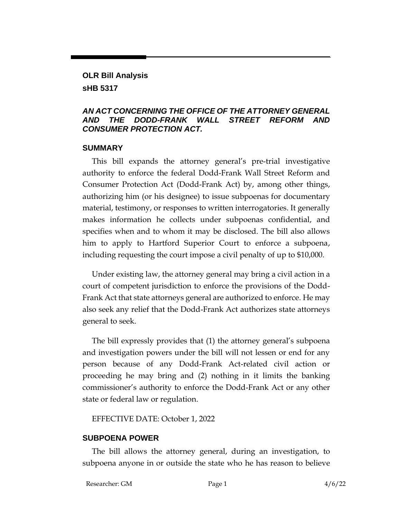### **OLR Bill Analysis sHB 5317**

#### *AN ACT CONCERNING THE OFFICE OF THE ATTORNEY GENERAL AND THE DODD-FRANK WALL STREET REFORM AND CONSUMER PROTECTION ACT.*

#### **SUMMARY**

This bill expands the attorney general's pre-trial investigative authority to enforce the federal Dodd-Frank Wall Street Reform and Consumer Protection Act (Dodd-Frank Act) by, among other things, authorizing him (or his designee) to issue subpoenas for documentary material, testimony, or responses to written interrogatories. It generally makes information he collects under subpoenas confidential, and specifies when and to whom it may be disclosed. The bill also allows him to apply to Hartford Superior Court to enforce a subpoena, including requesting the court impose a civil penalty of up to \$10,000.

Under existing law, the attorney general may bring a civil action in a court of competent jurisdiction to enforce the provisions of the Dodd-Frank Act that state attorneys general are authorized to enforce. He may also seek any relief that the Dodd-Frank Act authorizes state attorneys general to seek.

The bill expressly provides that (1) the attorney general's subpoena and investigation powers under the bill will not lessen or end for any person because of any Dodd-Frank Act-related civil action or proceeding he may bring and (2) nothing in it limits the banking commissioner's authority to enforce the Dodd-Frank Act or any other state or federal law or regulation.

EFFECTIVE DATE: October 1, 2022

### **SUBPOENA POWER**

The bill allows the attorney general, during an investigation, to subpoena anyone in or outside the state who he has reason to believe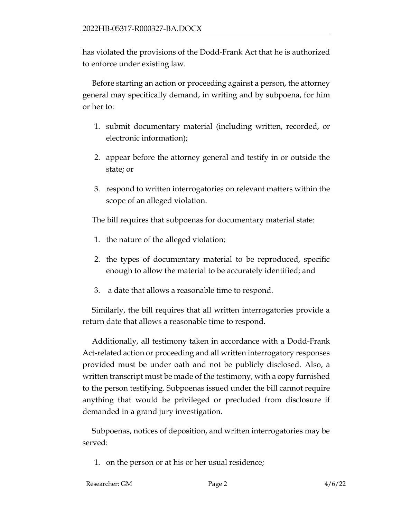has violated the provisions of the Dodd-Frank Act that he is authorized to enforce under existing law.

Before starting an action or proceeding against a person, the attorney general may specifically demand, in writing and by subpoena, for him or her to:

- 1. submit documentary material (including written, recorded, or electronic information);
- 2. appear before the attorney general and testify in or outside the state; or
- 3. respond to written interrogatories on relevant matters within the scope of an alleged violation.

The bill requires that subpoenas for documentary material state:

- 1. the nature of the alleged violation;
- 2. the types of documentary material to be reproduced, specific enough to allow the material to be accurately identified; and
- 3. a date that allows a reasonable time to respond.

Similarly, the bill requires that all written interrogatories provide a return date that allows a reasonable time to respond.

Additionally, all testimony taken in accordance with a Dodd-Frank Act-related action or proceeding and all written interrogatory responses provided must be under oath and not be publicly disclosed. Also, a written transcript must be made of the testimony, with a copy furnished to the person testifying. Subpoenas issued under the bill cannot require anything that would be privileged or precluded from disclosure if demanded in a grand jury investigation.

Subpoenas, notices of deposition, and written interrogatories may be served:

1. on the person or at his or her usual residence;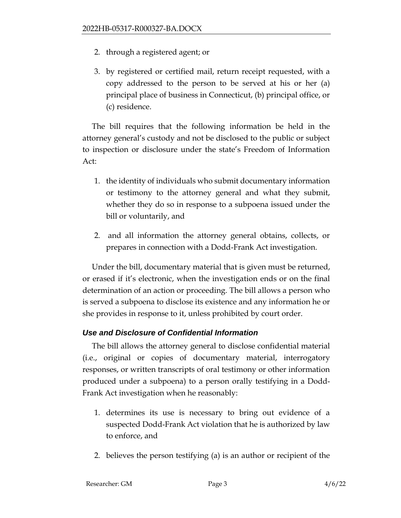- 2. through a registered agent; or
- 3. by registered or certified mail, return receipt requested, with a copy addressed to the person to be served at his or her (a) principal place of business in Connecticut, (b) principal office, or (c) residence.

The bill requires that the following information be held in the attorney general's custody and not be disclosed to the public or subject to inspection or disclosure under the state's Freedom of Information Act:

- 1. the identity of individuals who submit documentary information or testimony to the attorney general and what they submit, whether they do so in response to a subpoena issued under the bill or voluntarily, and
- 2. and all information the attorney general obtains, collects, or prepares in connection with a Dodd-Frank Act investigation.

Under the bill, documentary material that is given must be returned, or erased if it's electronic, when the investigation ends or on the final determination of an action or proceeding. The bill allows a person who is served a subpoena to disclose its existence and any information he or she provides in response to it, unless prohibited by court order.

### *Use and Disclosure of Confidential Information*

The bill allows the attorney general to disclose confidential material (i.e., original or copies of documentary material, interrogatory responses, or written transcripts of oral testimony or other information produced under a subpoena) to a person orally testifying in a Dodd-Frank Act investigation when he reasonably:

- 1. determines its use is necessary to bring out evidence of a suspected Dodd-Frank Act violation that he is authorized by law to enforce, and
- 2. believes the person testifying (a) is an author or recipient of the